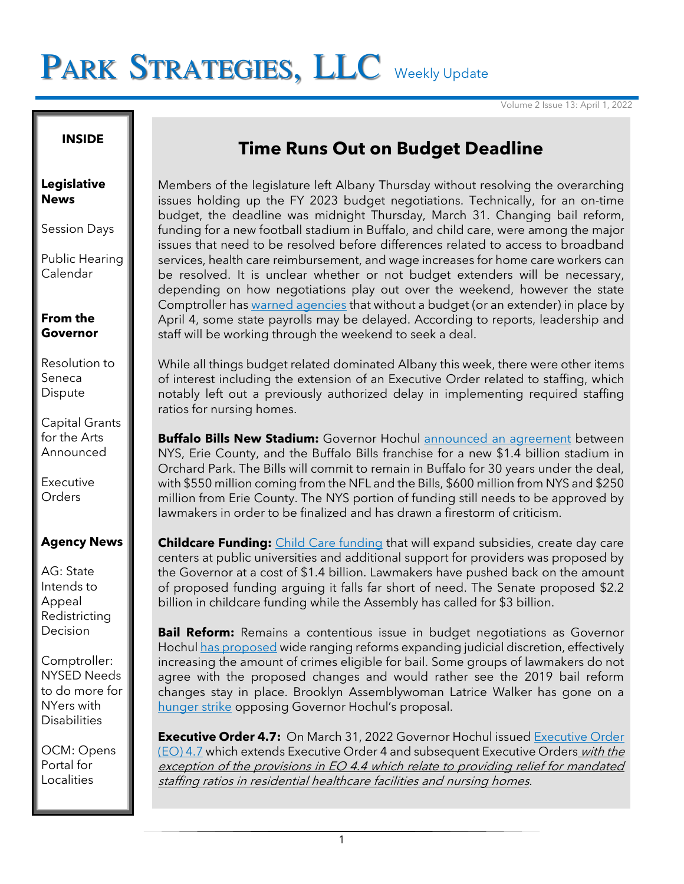# PARK STRATEGIES, LLC Weekly Update

Volume 2 Issue 13: April 1, 2022

# **INSIDE**

#### **Legislative News**

Session Days

Public Hearing Calendar

### **From the Governor**

Resolution to Seneca Dispute

Capital Grants for the Arts Announced

Executive **Orders** 

# **Agency News**

AG: State Intends to Appeal Redistricting Decision

Comptroller: NYSED Needs to do more for NYers with **Disabilities** 

OCM: Opens Portal for Localities

# **Time Runs Out on Budget Deadline**

Members of the legislature left Albany Thursday without resolving the overarching issues holding up the FY 2023 budget negotiations. Technically, for an on-time budget, the deadline was midnight Thursday, March 31. Changing bail reform, funding for a new football stadium in Buffalo, and child care, were among the major issues that need to be resolved before differences related to access to broadband services, health care reimbursement, and wage increases for home care workers can be resolved. It is unclear whether or not budget extenders will be necessary, depending on how negotiations play out over the weekend, however the state Comptroller has warned [agencies](https://www.osc.state.ny.us/state-agencies/payroll-bulletins/state-agencies/2017-paycheck-distribution-april-7-2022-institution-cycle-paychecks) that without a budget (or an extender) in place by April 4, some state payrolls may be delayed. According to reports, leadership and staff will be working through the weekend to seek a deal.

While all things budget related dominated Albany this week, there were other items of interest including the extension of an Executive Order related to staffing, which notably left out a previously authorized delay in implementing required staffing ratios for nursing homes.

**Buffalo Bills New Stadium:** Governor Hochul [announced an agreement](https://www.governor.ny.gov/news/governor-hochul-announces-joint-public-private-agreement-ensure-buffalo-bills-remain-new-york) between NYS, Erie County, and the Buffalo Bills franchise for a new \$1.4 billion stadium in Orchard Park. The Bills will commit to remain in Buffalo for 30 years under the deal, with \$550 million coming from the NFL and the Bills, \$600 million from NYS and \$250 million from Erie County. The NYS portion of funding still needs to be approved by lawmakers in order to be finalized and has drawn a firestorm of criticism.

**Childcare Funding:** [Child Care funding](https://www.nytimes.com/2022/03/21/nyregion/universal-childcare-ny.html) that will expand subsidies, create day care centers at public universities and additional support for providers was proposed by the Governor at a cost of \$1.4 billion. Lawmakers have pushed back on the amount of proposed funding arguing it falls far short of need. The Senate proposed \$2.2 billion in childcare funding while the Assembly has called for \$3 billion.

**Bail Reform:** Remains a contentious issue in budget negotiations as Governor Hochu[l has proposed](https://www.nytimes.com/2022/03/29/nyregion/bail-reform-hochul-ny.html) wide ranging reforms expanding judicial discretion, effectively increasing the amount of crimes eligible for bail. Some groups of lawmakers do not agree with the proposed changes and would rather see the 2019 bail reform changes stay in place. Brooklyn Assemblywoman Latrice Walker has gone on a [hunger strike](https://www.ny1.com/nyc/all-boroughs/news/2022/03/30/nine-days-into-hunger-strike--bail-reform-rollbacks-a-nonstarter-for-latrice-walker?cid=id-app15_m-share_s-web_cmp-app_launch_august2020_c-producer_posts_po-organic?cid=share_twitter) opposing Governor Hochul's proposal.

**Executive Order 4.7:** On March 31, 2022 Governor Hochul issued Executive Order [\(EO\) 4.7](https://www.governor.ny.gov/executive-order/no-47-continuing-declaration-statewide-disaster-emergency-due-healthcare-staffing) which extends Executive Order 4 and subsequent Executive Orders with the exception of the provisions in EO 4.4 which relate to providing relief for mandated staffing ratios in residential healthcare facilities and nursing homes.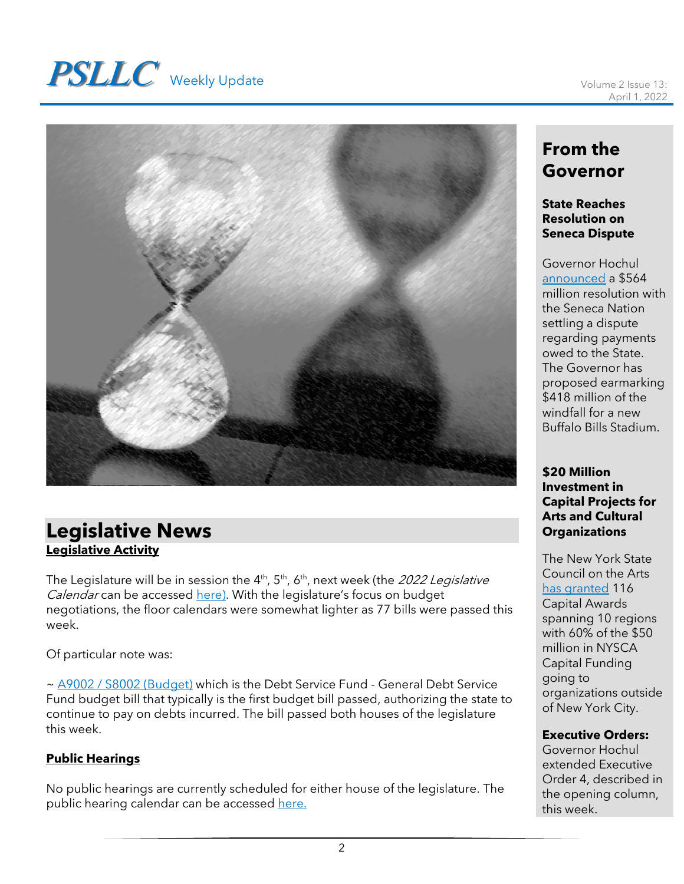# **PSLLC** Weekly Update Volume 2 Issue 13:



# **Legislative News Legislative Activity**

The Legislature will be in session the 4<sup>th</sup>, 5<sup>th</sup>, 6<sup>th</sup>, next week (the *2022 Legislative* Calendar can be accessed [here\)](https://www.nyassembly.gov/leg/docs/sessioncalendar_2022.pdf). With the legislature's focus on budget negotiations, the floor calendars were somewhat lighter as 77 bills were passed this week.

Of particular note was:

~ [A9002 / S8002 \(Budget\)](https://www.nysenate.gov/legislation/bills/2021/s8002) which is the Debt Service Fund - General Debt Service Fund budget bill that typically is the first budget bill passed, authorizing the state to continue to pay on debts incurred. The bill passed both houses of the legislature this week.

## **Public Hearings**

No public hearings are currently scheduled for either house of the legislature. The public hearing calendar can be accessed [here.](https://www.nyassembly.gov/leg/?sh=hear)

# **From the Governor**

#### **State Reaches Resolution on Seneca Dispute**

Governor Hochul [announced](https://www.governor.ny.gov/news/statement-governor-kathy-hochul-resolution-seneca-dispute) a \$564 million resolution with the Seneca Nation settling a dispute regarding payments owed to the State. The Governor has proposed earmarking \$418 million of the windfall for a new Buffalo Bills Stadium.

**\$20 Million Investment in Capital Projects for Arts and Cultural Organizations**

The New York State Council on the Arts [has granted](https://www.governor.ny.gov/news/governor-hochul-announces-20-million-investment-capital-projects-arts-and-cultural) 116 Capital Awards spanning 10 regions with 60% of the \$50 million in NYSCA Capital Funding going to organizations outside of New York City.

#### **Executive Orders:**

Governor Hochul extended Executive Order 4, described in the opening column, this week.